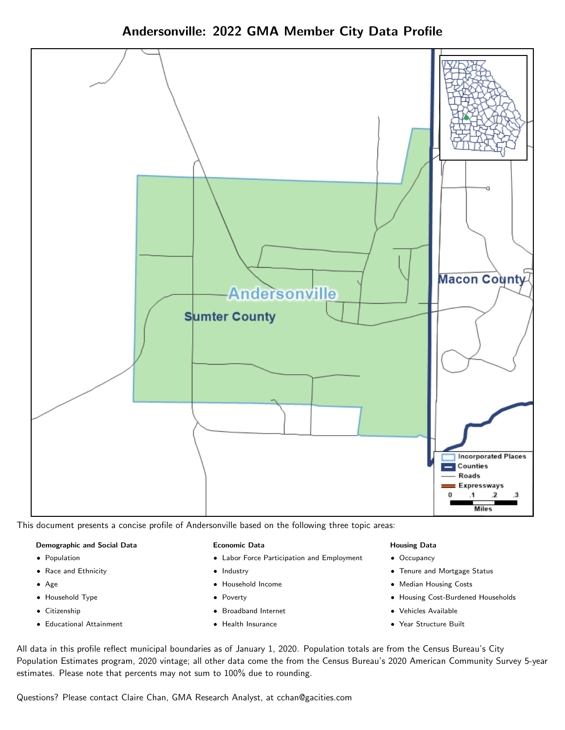



This document presents a concise profile of Andersonville based on the following three topic areas:

### Demographic and Social Data

- **•** Population
- Race and Ethnicity
- Age
- Household Type
- **Citizenship**
- Educational Attainment

### Economic Data

- Labor Force Participation and Employment
- Industry
- Household Income
- Poverty
- Broadband Internet
- Health Insurance

# Housing Data

- Occupancy
- Tenure and Mortgage Status
- Median Housing Costs
- Housing Cost-Burdened Households
- Vehicles Available
- Year Structure Built

All data in this profile reflect municipal boundaries as of January 1, 2020. Population totals are from the Census Bureau's City Population Estimates program, 2020 vintage; all other data come the from the Census Bureau's 2020 American Community Survey 5-year estimates. Please note that percents may not sum to 100% due to rounding.

Questions? Please contact Claire Chan, GMA Research Analyst, at [cchan@gacities.com.](mailto:cchan@gacities.com)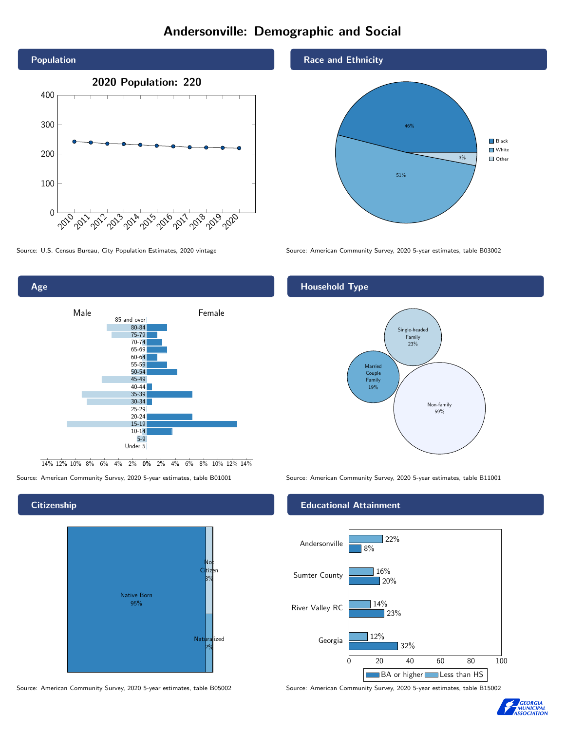# Andersonville: Demographic and Social





0% 2% 4% 6% 8% 10% 12% 14% 14% 12% 10% 8% 6% 4% 2%

# **Citizenship**



Source: American Community Survey, 2020 5-year estimates, table B05002 Source: American Community Survey, 2020 5-year estimates, table B15002

# Race and Ethnicity



Source: U.S. Census Bureau, City Population Estimates, 2020 vintage Source: American Community Survey, 2020 5-year estimates, table B03002

# Household Type



Source: American Community Survey, 2020 5-year estimates, table B01001 Source: American Community Survey, 2020 5-year estimates, table B11001

# Educational Attainment



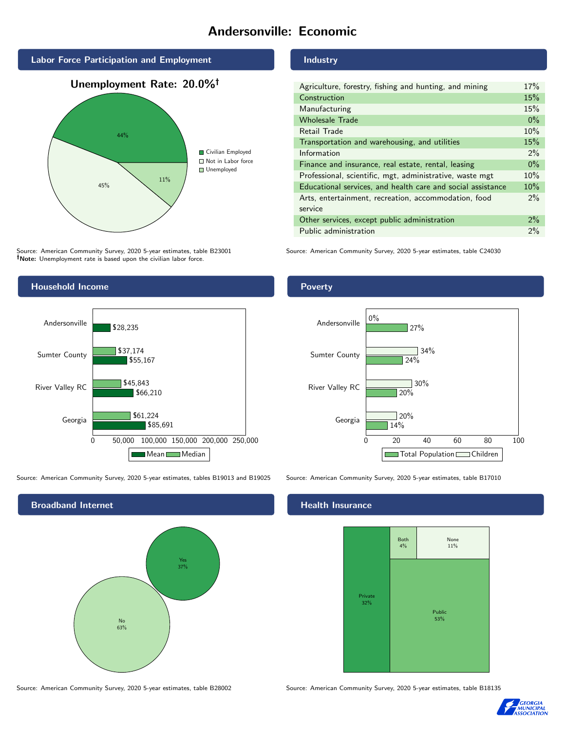# Andersonville: Economic



# 45% 11% **Civilian Employed** ■ Not in Labor force ■ Unemployed

Source: American Community Survey, 2020 5-year estimates, table B23001 Note: Unemployment rate is based upon the civilian labor force.



Source: American Community Survey, 2020 5-year estimates, tables B19013 and B19025 Source: American Community Survey, 2020 5-year estimates, table B17010



Industry

| Agriculture, forestry, fishing and hunting, and mining      | 17%   |
|-------------------------------------------------------------|-------|
| Construction                                                | 15%   |
| Manufacturing                                               | 15%   |
| <b>Wholesale Trade</b>                                      | $0\%$ |
| Retail Trade                                                | 10%   |
| Transportation and warehousing, and utilities               | 15%   |
| Information                                                 | $2\%$ |
| Finance and insurance, real estate, rental, leasing         | $0\%$ |
| Professional, scientific, mgt, administrative, waste mgt    | 10%   |
| Educational services, and health care and social assistance | 10%   |
| Arts, entertainment, recreation, accommodation, food        | $2\%$ |
| service                                                     |       |
| Other services, except public administration                | $2\%$ |
| Public administration                                       | 2%    |

Source: American Community Survey, 2020 5-year estimates, table C24030

# Poverty



# **Health Insurance**



Source: American Community Survey, 2020 5-year estimates, table B28002 Source: American Community Survey, 2020 5-year estimates, table B18135